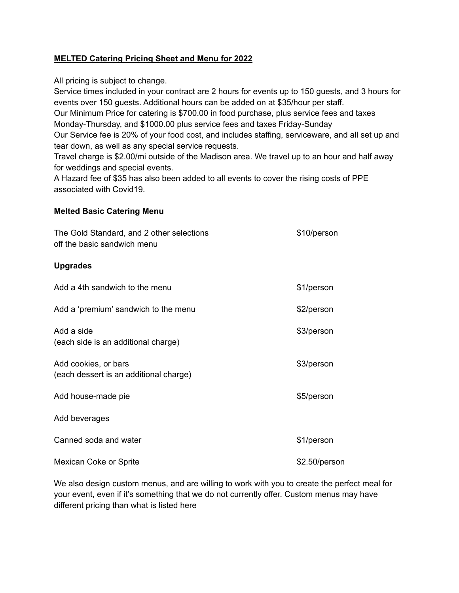# **MELTED Catering Pricing Sheet and Menu for 2022**

All pricing is subject to change.

Service times included in your contract are 2 hours for events up to 150 guests, and 3 hours for events over 150 guests. Additional hours can be added on at \$35/hour per staff.

Our Minimum Price for catering is \$700.00 in food purchase, plus service fees and taxes Monday-Thursday, and \$1000.00 plus service fees and taxes Friday-Sunday

Our Service fee is 20% of your food cost, and includes staffing, serviceware, and all set up and tear down, as well as any special service requests.

Travel charge is \$2.00/mi outside of the Madison area. We travel up to an hour and half away for weddings and special events.

A Hazard fee of \$35 has also been added to all events to cover the rising costs of PPE associated with Covid19.

### **Melted Basic Catering Menu**

| The Gold Standard, and 2 other selections<br>off the basic sandwich menu | \$10/person   |
|--------------------------------------------------------------------------|---------------|
| <b>Upgrades</b>                                                          |               |
| Add a 4th sandwich to the menu                                           | \$1/person    |
| Add a 'premium' sandwich to the menu                                     | \$2/person    |
| Add a side<br>(each side is an additional charge)                        | \$3/person    |
| Add cookies, or bars<br>(each dessert is an additional charge)           | \$3/person    |
| Add house-made pie                                                       | \$5/person    |
| Add beverages                                                            |               |
| Canned soda and water                                                    | \$1/person    |
| Mexican Coke or Sprite                                                   | \$2.50/person |

We also design custom menus, and are willing to work with you to create the perfect meal for your event, even if it's something that we do not currently offer. Custom menus may have different pricing than what is listed here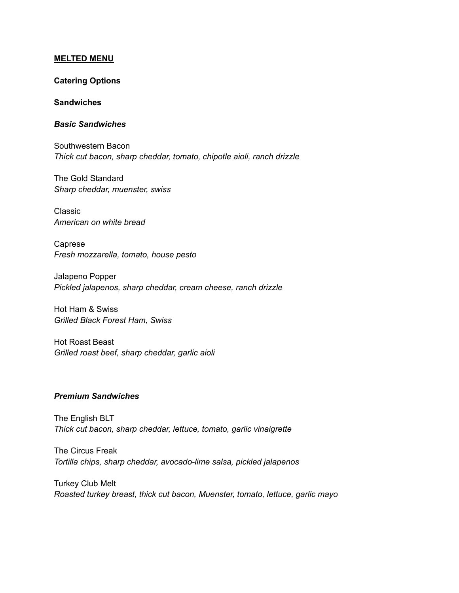#### **MELTED MENU**

### **Catering Options**

#### **Sandwiches**

### *Basic Sandwiches*

Southwestern Bacon *Thick cut bacon, sharp cheddar, tomato, chipotle aioli, ranch drizzle*

The Gold Standard *Sharp cheddar, muenster, swiss*

Classic *American on white bread*

Caprese *Fresh mozzarella, tomato, house pesto*

Jalapeno Popper *Pickled jalapenos, sharp cheddar, cream cheese, ranch drizzle*

Hot Ham & Swiss *Grilled Black Forest Ham, Swiss*

Hot Roast Beast *Grilled roast beef, sharp cheddar, garlic aioli*

### *Premium Sandwiches*

The English BLT *Thick cut bacon, sharp cheddar, lettuce, tomato, garlic vinaigrette*

The Circus Freak *Tortilla chips, sharp cheddar, avocado-lime salsa, pickled jalapenos*

Turkey Club Melt *Roasted turkey breast, thick cut bacon, Muenster, tomato, lettuce, garlic mayo*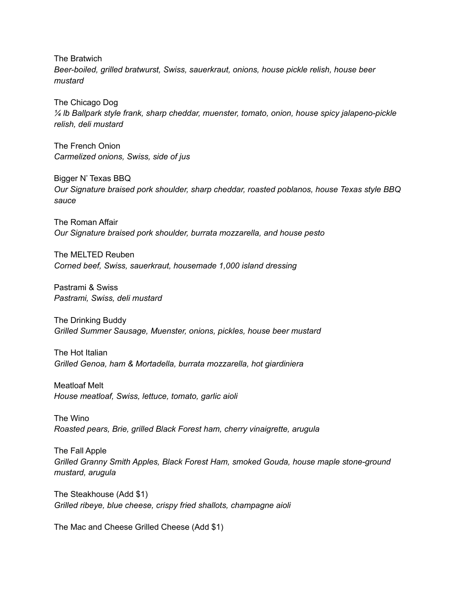The Bratwich *Beer-boiled, grilled bratwurst, Swiss, sauerkraut, onions, house pickle relish, house beer mustard*

The Chicago Dog *¼ lb Ballpark style frank, sharp cheddar, muenster, tomato, onion, house spicy jalapeno-pickle relish, deli mustard*

The French Onion *Carmelized onions, Swiss, side of jus*

Bigger N' Texas BBQ *Our Signature braised pork shoulder, sharp cheddar, roasted poblanos, house Texas style BBQ sauce*

The Roman Affair *Our Signature braised pork shoulder, burrata mozzarella, and house pesto*

The MELTED Reuben *Corned beef, Swiss, sauerkraut, housemade 1,000 island dressing*

Pastrami & Swiss *Pastrami, Swiss, deli mustard*

The Drinking Buddy *Grilled Summer Sausage, Muenster, onions, pickles, house beer mustard*

The Hot Italian *Grilled Genoa, ham & Mortadella, burrata mozzarella, hot giardiniera*

Meatloaf Melt *House meatloaf, Swiss, lettuce, tomato, garlic aioli*

The Wino *Roasted pears, Brie, grilled Black Forest ham, cherry vinaigrette, arugula*

The Fall Apple *Grilled Granny Smith Apples, Black Forest Ham, smoked Gouda, house maple stone-ground mustard, arugula*

The Steakhouse (Add \$1) *Grilled ribeye, blue cheese, crispy fried shallots, champagne aioli*

The Mac and Cheese Grilled Cheese (Add \$1)